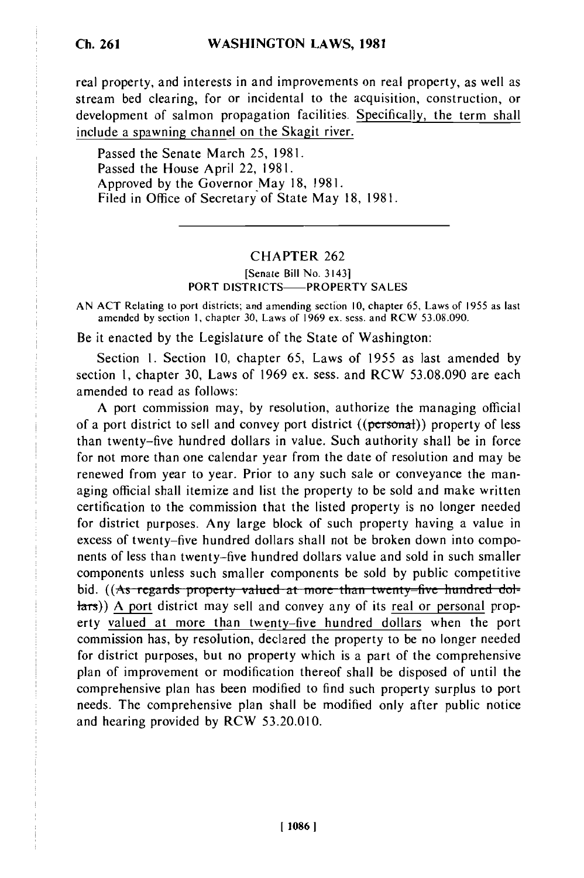# **WASHINGTON LAWS, 1981**

real property, and interests in and improvements on real property, as well as stream bed clearing, for or incidental to the acquisition, construction, or development of salmon propagation facilities. Specifically, the term shall include a spawning channel on the Skagit river.

Passed the Senate March 25, 1981. Passed the House April 22, 1981. Approved by the Governor May 18, 1981. Filed in Office of Secretary of State May 18, 1981.

### CHAPTER 262

#### [Senate Bill No. 3143] PORT DISTRICTS-PROPERTY SALES

AN **ACT** Relating to port districts; and amending section 10, chapter **65,** Laws of 1955 as last amended by section **1,** chapter 30, Laws of 1969 ex. sess. and RCW 53.08.090.

Be it enacted by the Legislature of the State of Washington:

Section 1. Section 10, chapter 65, Laws of 1955 as last amended by section 1, chapter 30, Laws of 1969 ex. sess. and RCW 53.08.090 are each amended to read as follows:

**A** port commission may, by resolution, authorize the managing official of a port district to sell and convey port district  $((\text{personal}))$  property of less than twenty-five hundred dollars in value. Such authority shall be in force for not more than one calendar year from the date of resolution and may be renewed from year to year. Prior to any such sale or conveyance the managing official shall itemize and list the property to be sold and make written certification to the commission that the listed property is no longer needed for district purposes. Any large block of such property having a value in excess of twenty-five hundred dollars shall not be broken down into components of less than twenty-five hundred dollars value and sold in such smaller components unless such smaller components be sold by public competitive bid. ((As regards property valued at more than twenty-five hundred dollars)) A port district may sell and convey any of its real or personal property valued at more than twenty-five hundred dollars when the port commission has, **by** resolution, declared the property to be no longer needed for district purposes, but no property which is a part of the comprehensive plan of improvement or modification thereof shall be disposed of until the comprehensive plan has been modified to find such property surplus to port needs. The comprehensive plan shall be modified only after public notice and hearing provided **by** RCW 53.20.010.

#### **1 10861**

# **Ch. 261**